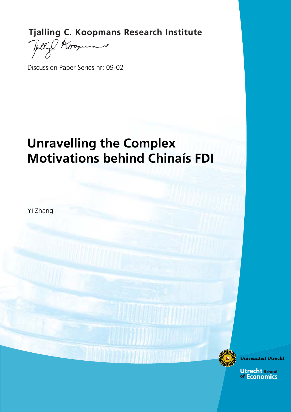**Tjalling C. Koopmans Research Institute**<br>
Fully Koopmans

 $\overline{\phantom{a}}$ 

Discussion Paper Series nr: 09-02

# **Unravelling the Complex Motivations behind Chinaís FDI**

Yi Zhang

**Universiteit Utrecht** 

**Utrecht school**<br>of Economics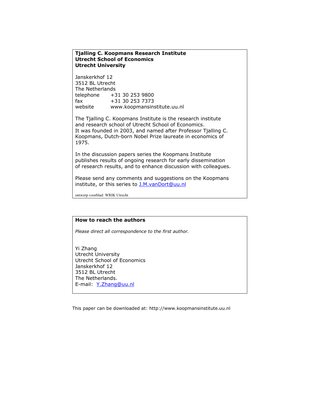#### **Tjalling C. Koopmans Research Institute Utrecht School of Economics Utrecht University**

Janskerkhof 12 3512 BL Utrecht The Netherlands telephone +31 30 253 9800 fax +31 30 253 7373 website www.koopmansinstitute.uu.nl

The Tjalling C. Koopmans Institute is the research institute and research school of Utrecht School of Economics. It was founded in 2003, and named after Professor Tjalling C. Koopmans, Dutch-born Nobel Prize laureate in economics of 1975.

In the discussion papers series the Koopmans Institute publishes results of ongoing research for early dissemination of research results, and to enhance discussion with colleagues.

Please send any comments and suggestions on the Koopmans institute, or this series to **J.M.vanDort@uu.nl** 

ontwerp voorblad: WRIK Utrecht

#### **How to reach the authors**

*Please direct all correspondence to the first author.* 

Yi Zhang Utrecht University Utrecht School of Economics Janskerkhof 12 3512 BL Utrecht The Netherlands. E-mail: Y.Zhang@uu.nl

This paper can be downloaded at: http://www.koopmansinstitute.uu.nl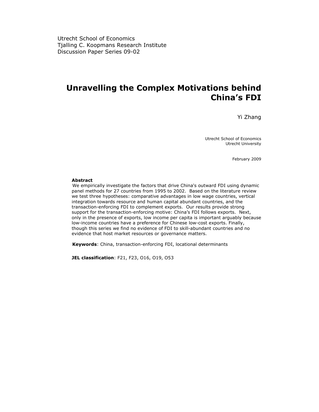Utrecht School of Economics Tjalling C. Koopmans Research Institute Discussion Paper Series 09-02

# **Unravelling the Complex Motivations behind China's FDI**

Yi Zhang

Utrecht School of Economics Utrecht University

February 2009

#### **Abstract**

We empirically investigate the factors that drive China's outward FDI using dynamic panel methods for 27 countries from 1995 to 2002. Based on the literature review we test three hypotheses: comparative advantages in low wage countries, vertical integration towards resource and human capital abundant countries, and the transaction-enforcing FDI to complement exports. Our results provide strong support for the transaction-enforcing motive: China's FDI follows exports. Next, only in the presence of exports, low income per capita is important arguably because low-income countries have a preference for Chinese low-cost exports. Finally, though this series we find no evidence of FDI to skill-abundant countries and no evidence that host market resources or governance matters.

**Keywords**: China, transaction-enforcing FDI, locational determinants

**JEL classification**: F21, F23, O16, O19, O53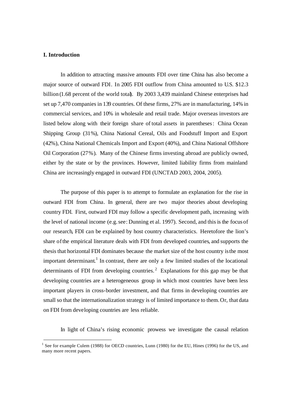# **I. Introduction**

In addition to attracting massive amounts FDI over time China has also become a major source of outward FDI. In 2005 FDI outflow from China amounted to U.S. \$12.3 billion (1.68 percent of the world total). By 2003 3,439 mainland Chinese enterprises had set up 7,470 companies in 139 countries. Of these firms, 27% are in manufacturing, 14% in commercial services, and 10% in wholesale and retail trade. Major overseas investors are listed below along with their foreign share of total assets in parentheses: China Ocean Shipping Group (31%), China National Cereal, Oils and Foodstuff Import and Export (42%), China National Chemicals Import and Export (40%), and China National Offshore Oil Corporation (27%). Many of the Chinese firms investing abroad are publicly owned, either by the state or by the provinces. However, limited liability firms from mainland China are increasingly engaged in outward FDI (UNCTAD 2003, 2004, 2005).

The purpose of this paper is to attempt to formulate an explanation for the rise in outward FDI from China. In general, there are two major theories about developing country FDI. First, outward FDI may follow a specific development path, increasing with the level of national income (e.g. see: Dunning et al. 1997). Second, and this is the focus of our research, FDI can be explained by host country characteristics. Heretofore the lion's share of the empirical literature deals with FDI from developed countries, and supports the thesis that horizontal FDI dominates because the market size of the host country is the most important determinant.<sup>1</sup> In contrast, there are only a few limited studies of the locational determinants of FDI from developing countries.<sup>2</sup> Explanations for this gap may be that developing countries are a heterogeneous group in which most countries have been less important players in cross-border investment, and that firms in developing countries are small so that the internationalization strategy is of limited importance to them.Or, that data on FDI from developing countries are less reliable.

In light of China's rising economic prowess we investigate the causal relation

<sup>&</sup>lt;sup>1</sup> See for example Culem (1988) for OECD countries, Lunn (1980) for the EU, Hines (1996) for the US, and many more recent papers.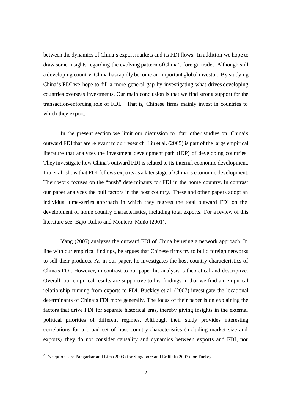between the dynamics of China's export markets and its FDI flows. In addition, we hope to draw some insights regarding the evolving pattern ofChina's foreign trade. Although still a developing country, China has rapidly become an important global investor. By studying China's FDI we hope to fill a more general gap by investigating what drives developing countries overseas investments. Our main conclusion is that we find strong support for the transaction-enforcing role of FDI. That is, Chinese firms mainly invest in countries to which they export.

In the present section we limit our discussion to four other studies on China's outward FDI that are relevant to our research. Liu et al. (2005) is part of the large empirical literature that analyzes the investment development path (IDP) of developing countries. They investigate how China's outward FDI is related to its internal economic development. Liu et al. show that FDI follows exports as a later stage of China 's economic development. Their work focuses on the "push" determinants for FDI in the home country. In contrast our paper analyzes the pull factors in the host country. These and other papers adopt an individual time-series approach in which they regress the total outward FDI on the development of home country characteristics, including total exports. For a review of this literature see: Bajo-Rubio and Montero-Muño (2001).

Yang (2005) analyzes the outward FDI of China by using a network approach. In line with our empirical findings, he argues that Chinese firms try to build foreign networks to sell their products. As in our paper, he investigates the host country characteristics of China's FDI. However, in contrast to our paper his analysis is theoretical and descriptive. Overall, our empirical results are supportive to his findings in that we find an empirical relationship running from exports to FDI. Buckley et al. (2007) investigate the locational determinants of China's FDI more generally. The focus of their paper is on explaining the factors that drive FDI for separate historical eras, thereby giving insights in the external political priorities of different regimes. Although their study provides interesting correlations for a broad set of host country characteristics (including market size and exports), they do not consider causality and dynamics between exports and FDI, nor

<sup>&</sup>lt;sup>2</sup> Exceptions are Pangarkar and Lim (2003) for Singapore and Erdilek (2003) for Turkey.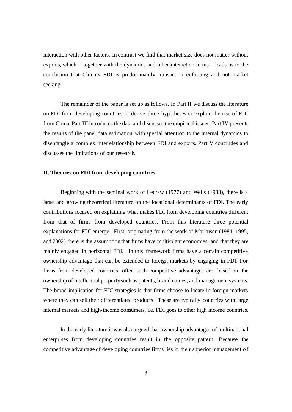interaction with other factors. In contrast we find that market size does not matter without exports, which – together with the dynamics and other interaction terms – leads us to the conclusion that China's FDI is predominantly transaction enforcing and not market seeking.

The remainder of the paper is set up as follows. In Part II we discuss the lite rature on FDI from developing countries to derive three hypotheses to explain the rise of FDI from China. Part III introduces the data and discusses the empirical issues. Part IV presents the results of the panel data estimation with special attention to the internal dynamics to disentangle a complex interrelationship between FDI and exports. Part V concludes and discusses the limitations of our research.

# **II. Theories on FDI from developing countries**

Beginning with the seminal work of Lecraw (1977) and Wells (1983), there is a large and growing theoretical literature on the locational determinants of FDI. The early contributions focused on explaining what makes FDI from developing countries different from that of firms from developed countries. From this literature three potential explanations for FDI emerge. First, originating from the work of Markusen (1984, 1995, and 2002) there is the assumption that firms have multi-plant economies, and that they are mainly engaged in horizontal FDI. In this framework firms have a certain competitive ownership advantage that can be extended to foreign markets by engaging in FDI. For firms from developed countries, often such competitive advantages are based on the ownership of intellectual property such as patents, brand names, and management systems. The broad implication for FDI strategies is that firms choose to locate in foreign markets where they can sell their differentiated products. These are typically countries with large internal markets and high-income consumers, i.e. FDI goes to other high income countries.

In the early literature it was also argued that ownership advantages of multinational enterprises from developing countries result in the opposite pattern. Because the competitive advantage of developing countries firms lies in their superior management o f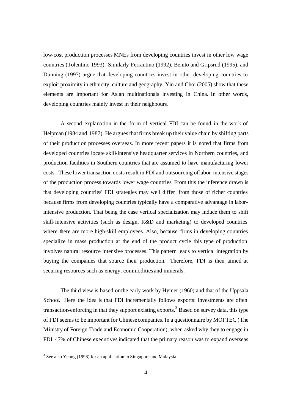low-cost production processes MNEs from developing countries invest in other low wage countries (Tolentino 1993). Similarly Ferrantino (1992), Benito and Gripsrud (1995), and Dunning (1997) argue that developing countries invest in other developing countries to exploit proximity in ethnicity, culture and geography. Yin and Choi (2005) show that these elements are important for Asian multinationals investing in China. In other words, developing countries mainly invest in their neighbours.

A second explanation in the form of vertical FDI can be found in the work of Helpman (1984 and 1987). He argues that firms break up their value chain by shifting parts of their production processes overseas. In more recent papers it is noted that firms from developed countries locate skill-intensive headquarter services in Northern countries, and production facilities in Southern countries that are assumed to have manufacturing lower costs. These lower transaction costs result in FDI and outsourcing of labor-intensive stages of the production process towards lower wage countries. From this the inference drawn is that developing countries' FDI strategies may well differ from those of richer countries because firms from developing countries typically have a comparative advantage in laborintensive production. That being the case vertical specialization may induce them to shift skill-intensive activities (such as design, R&D and marketing) to developed countries where there are more high-skill employees. Also, because firms in developing countries specialize in mass production at the end of the product cycle this type of production involves natural resource intensive processes. This pattern leads to vertical integration by buying the companies that source their production. Therefore, FDI is then aimed at securing resources such as energy, commodities and minerals.

The third view is based on the early work by Hymer (1960) and that of the Uppsala School. Here the idea is that FDI incrementally follows exports: investments are often transaction-enforcing in that they support existing exports.<sup>3</sup> Based on survey data, this type of FDI seems to be important for Chinese companies. In a questionnaire by MOFTEC (The Ministry of Foreign Trade and Economic Cooperation), when asked why they to engage in FDI, 47% of Chinese executives indicated that the primary reason was to expand overseas

 $3$  See also Yeung (1998) for an application to Singapore and Malaysia.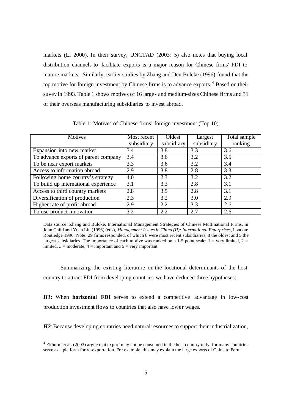markets (Li 2000). In their survey, UNCTAD (2003: 5) also notes that buying local distribution channels to facilitate exports is a major reason for Chinese firms' FDI to mature markets. Similarly, earlier studies by Zhang and Den Bulcke (1996) found that the top motive for foreign investment by Chinese firms is to advance exports.<sup>4</sup> Based on their suvey in 1993, Table 1 shows motives of 16 large- and medium-sizes Chinese firms and 31 of their overseas manufacturing subsidiaries to invest abroad.

| <b>Motives</b>                       | Most recent | Oldest     | Largest          | Total sample |
|--------------------------------------|-------------|------------|------------------|--------------|
|                                      | subsidiary  | subsidiary | subsidiary       | ranking      |
| Expansion into new market            | 3.4         | 3.8        | 3.3              | 3.6          |
| To advance exports of parent company | 3.4         | 3.6        | 3.2              | 3.5          |
| To be near export markets            | 3.3         | 3.6        | 3.2              | 3.4          |
| Access to information abroad         | 2.9         | 3.8        | 2.8              | 3.3          |
| Following home country's strategy    | 4.0         | 2.3        | 3.2              | 3.2          |
| To build up international experience | 3.1         | 3.3        | 2.8              | 3.1          |
| Access to third country markets      | 2.8         | 3.5        | 2.8              | 3.1          |
| Diversification of production        | 2.3         | 3.2        | 3.0              | 2.9          |
| Higher rate of profit abroad         | 2.9         | 2.2        | $\overline{3.3}$ | 2.6          |
| To use product innovation            | 3.2         | 2.2        | 2.7              | 2.6          |

Table 1: Motives of Chinese firms' foreign investment (Top 10)

Data source: Zhang and Bulcke. International Management Strategies of Chinese Multinational Firms, in John Child and Yuan Liu (1996) (eds), *Management Issues in China (II): International Enterprises*, London: Routledge 1996. Note: 29 firms responded, of which 8 were most recent subsidiaries, 8 the oldest and 5 the largest subsidiaries. The importance of each motive was ranked on a 1-5 point scale:  $1 =$  very limited,  $2 =$ limited,  $3 =$  moderate,  $4 =$  important and  $5 =$  very important.

Summarizing the existing literature on the locational determinants of the host country to attract FDI from developing countries we have deduced three hypotheses:

*H1*: When **horizontal FDI** serves to extend a competitive advantage in low-cost production investment flows to countries that also have lower wages.

*H2*: Because developing countries need natural resources to support their industrialization,

l

 $4$  Ekholm et al. (2003) argue that export may not be consumed in the host country only, for many countries serve as a platform for re-exportation. For example, this may explain the large exports of China to Peru.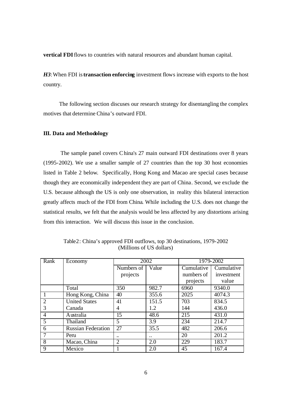**vertical FDI** flows to countries with natural resources and abundant human capital.

*H3*: When FDI is **transaction enforcing** investment flows increase with exports to the host country.

 The following section discuses our research strategy for disentangling the complex motives that determine China's outward FDI.

# **III. Data and Methodology**

The sample panel covers China's 27 main outward FDI destinations over 8 years (1995-2002). We use a smaller sample of 27 countries than the top 30 host economies listed in Table 2 below. Specifically, Hong Kong and Macao are special cases because though they are economically independent they are part of China. Second, we exclude the U.S. because although the US is only one observation, in reality this bilateral interaction greatly affects much of the FDI from China. While including the U.S. does not change the statistical results, we felt that the analysis would be less affected by any distortions arising from this interaction. We will discuss this issue in the conclusion.

| Rank           | Economy                   | 2002           |       | 1979-2002        |            |
|----------------|---------------------------|----------------|-------|------------------|------------|
|                |                           | Numbers of     | Value | Cumulative       | Cumulative |
|                |                           | projects       |       | numbers of       | investment |
|                |                           |                |       | projects         | value      |
|                | Total                     | 350            | 982.7 | 6960             | 9340.0     |
|                | Hong Kong, China          | 40             | 355.6 | 2025             | 4074.3     |
| 2              | <b>United States</b>      | 41             | 151.5 | 703              | 834.5      |
| 3              | Canada                    | 4              | 1.2   | 144              | 436.0      |
| 4              | Australia                 | 15             | 48.6  | 215              | 431.0      |
| 5              | Thailand                  | 5              | 3.9   | 234              | 214.7      |
| 6              | <b>Russian Federation</b> | 27             | 35.5  | 482              | 206.6      |
|                | Peru                      |                |       | 20               | 201.2      |
| $\overline{8}$ | Macao, China              | $\overline{2}$ | 2.0   | $\overline{229}$ | 183.7      |
| 9              | Mexico                    |                | 2.0   | 45               | 167.4      |

Table2: China's approved FDI outflows, top 30 destinations, 1979-2002 (Millions of US dollars)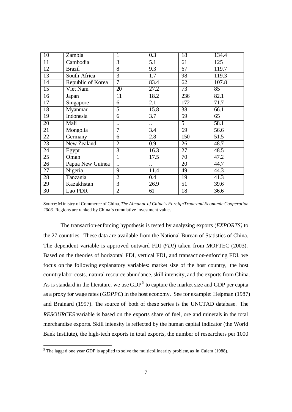| $\overline{10}$ | Zambia            | 1                    | 0.3                  | 18              | 134.4 |
|-----------------|-------------------|----------------------|----------------------|-----------------|-------|
| $\overline{11}$ | Cambodia          | $\overline{3}$       | 5.1                  | 61              | 125   |
| 12              | <b>Brazil</b>     | $\overline{8}$       | 9.3                  | 67              | 119.7 |
| 13              | South Africa      | $\overline{3}$       | $\overline{1.7}$     | 98              | 119.3 |
| $\overline{14}$ | Republic of Korea | $\overline{7}$       | 83.4                 | 62              | 107.8 |
| 15              | Viet Nam          | 20                   | 27.2                 | 73              | 85    |
| $\overline{16}$ | Japan             | 11                   | 18.2                 | 236             | 82.1  |
| 17              | Singapore         | $\overline{6}$       | 2.1                  | 172             | 71.7  |
| $\overline{18}$ | Myanmar           | 5                    | 15.8                 | 38              | 66.1  |
| 19              | Indonesia         | 6                    | 3.7                  | 59              | 65    |
| 20              | Mali              |                      | $\ddot{\phantom{a}}$ | $\overline{5}$  | 58.1  |
| 21              | Mongolia          | $\overline{7}$       | 3.4                  | 69              | 56.6  |
| 22              | Germany           | 6                    | 2.8                  | 150             | 51.5  |
| $\overline{23}$ | New Zealand       | $\overline{2}$       | 0.9                  | 26              | 48.7  |
| 24              | Egypt             | 3                    | 16.3                 | 27              | 48.5  |
| 25              | Oman              | $\mathbf 1$          | 17.5                 | $\overline{70}$ | 47.2  |
| 26              | Papua New Guinea  | $\ddot{\phantom{a}}$ | $\ddot{\phantom{0}}$ | 20              | 44.7  |
| 27              | Nigeria           | $\overline{9}$       | 11.4                 | 49              | 44.3  |
| 28              | Tanzania          | $\overline{2}$       | 0.4                  | 19              | 41.3  |
| 29              | Kazakhstan        | 3                    | 26.9                 | 51              | 39.6  |
| $\overline{30}$ | Lao PDR           | $\overline{2}$       | 61                   | 18              | 36.6  |

Source: M inistry of Commerce of China, *The Almanac of China's Foreign Trade and Economic Cooperation*  . Regions are ranked by China's cumulative investment value.

The transaction-enforcing hypothesis is tested by analyzing exports (*EXPORTS)* to the 27 countries. These data are available from the National Bureau of Statistics of China. The dependent variable is approved outward FDI (*FDI*) taken from MOFTEC (2003). Based on the theories of horizontal FDI, vertical FDI, and transaction-enforcing FDI, we focus on the following explanatory variables: market size of the host country, the host countrylabor costs, natural resource abundance, skill intensity, and the exports from China. As is standard in the literature, we use  $GDP<sup>5</sup>$  to capture the market size and GDP per capita as a proxy for wage rates (*GDPPC*) in the host economy. See for example: Helpman (1987) and Brainard (1997). The source of both of these series is the UNCTAD database. The *RESOURCES* variable is based on the exports share of fuel, ore and minerals in the total merchandise exports. Skill intensity is reflected by the human capital indicator (the World Bank Institute), the high-tech exports in total exports, the number of researchers per 1000

<sup>&</sup>lt;sup>5</sup> The lagged one year GDP is applied to solve the multicollinearity problem, as in Culem (1988).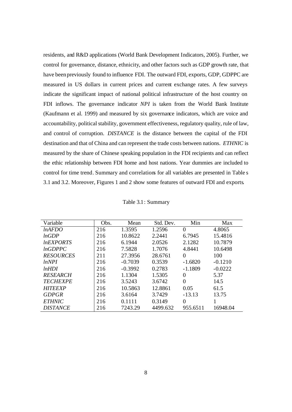residents, and R&D applications (World Bank Development Indicators, 2005). Further, we control for governance, distance, ethnicity, and other factors such as GDP growth rate, that have been previously found to influence FDI. The outward FDI, exports, GDP, GDPPC are measured in US dollars in current prices and current exchange rates. A few surveys indicate the significant impact of national political infrastructure of the host country on FDI inflows. The governance indicator *NPI* is taken from the World Bank Institute (Kaufmann et al. 1999) and measured by six governance indicators, which are voice and accountability, political stability, government effectiveness, regulatory quality, rule of law, and control of corruption. *DISTANCE* is the distance between the capital of the FDI destination and that of China and can represent the trade costs between nations. *ETHNIC* is measured by the share of Chinese speaking population in the FDI recipients and can reflect the ethic relationship between FDI home and host nations. Year dummies are included to control for time trend. Summary and correlations for all variables are presented in Table s 3.1 and 3.2. Moreover, Figures 1 and 2 show some features of outward FDI and exports.

| Variable         | Obs. | Mean      | Std. Dev. | Min            | Max       |
|------------------|------|-----------|-----------|----------------|-----------|
| lnAFDO           | 216  | 1.3595    | 1.2596    | $\Omega$       | 4.8065    |
| lnGDP            | 216  | 10.8622   | 2.2441    | 6.7945         | 15.4816   |
| <b>InEXPORTS</b> | 216  | 6.1944    | 2.0526    | 2.1282         | 10.7879   |
| lnGDPPC          | 216  | 7.5828    | 1.7076    | 4.8441         | 10.6498   |
| <b>RESOURCES</b> | 211  | 27.3956   | 28.6761   | $\Omega$       | 100       |
| lnNPI            | 216  | $-0.7039$ | 0.3539    | $-1.6820$      | $-0.1210$ |
| lnHDI            | 216  | $-0.3992$ | 0.2783    | $-1.1809$      | $-0.0222$ |
| <b>RESEARCH</b>  | 216  | 1.1304    | 1.5305    | $\theta$       | 5.37      |
| <b>TECHEXPE</b>  | 216  | 3.5243    | 3.6742    | 0              | 14.5      |
| <b>HITEEXP</b>   | 216  | 10.5863   | 12.8861   | 0.05           | 61.5      |
| <b>GDPGR</b>     | 216  | 3.6164    | 3.7429    | $-13.13$       | 13.75     |
| <b>ETHNIC</b>    | 216  | 0.1111    | 0.3149    | $\overline{0}$ |           |
| <b>DISTANCE</b>  | 216  | 7243.29   | 4499.632  | 955.6511       | 16948.04  |

| Table 3.1: Summary |
|--------------------|
|                    |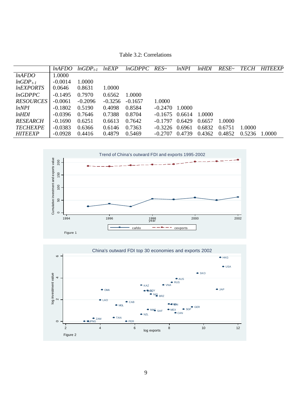Table 3.2: Correlations

|                  | <i>lnAFDO</i> | $lnGDP_{t-1}$ | lnEXP     | lnGDPPC   | $RES\sim$ | <i>lnNPI</i> | lnHDI  | RESE~  | <i>TECH</i> | <b>HITEEXP</b> |
|------------------|---------------|---------------|-----------|-----------|-----------|--------------|--------|--------|-------------|----------------|
| lnAFDO           | 1.0000        |               |           |           |           |              |        |        |             |                |
| $lnGDP_{t-1}$    | $-0.0014$     | 1.0000        |           |           |           |              |        |        |             |                |
| <i>lnEXPORTS</i> | 0.0646        | 0.8631        | 1.0000    |           |           |              |        |        |             |                |
| lnGDPPC          | $-0.1495$     | 0.7970        | 0.6562    | 1.0000    |           |              |        |        |             |                |
| <b>RESOURCES</b> | $-0.0061$     | $-0.2096$     | $-0.3256$ | $-0.1657$ | 1.0000    |              |        |        |             |                |
| lnNPI            | $-0.1802$     | 0.5190        | 0.4098    | 0.8584    | $-0.2470$ | 1.0000       |        |        |             |                |
| lnHDI            | $-0.0396$     | 0.7646        | 0.7388    | 0.8704    | $-0.1675$ | 0.6614       | 1.0000 |        |             |                |
| RESEARCH         | $-0.1690$     | 0.6251        | 0.6613    | 0.7642    | $-0.1797$ | 0.6429       | 0.6657 | 1.0000 |             |                |
| <b>TECHEXPE</b>  | $-0.0383$     | 0.6366        | 0.6146    | 0.7363    | $-0.3226$ | 0.6961       | 0.6832 | 0.6751 | 1.0000      |                |
| <b>HITEEXP</b>   | $-0.0928$     | 0.4416        | 0.4879    | 0.5469    | $-0.2707$ | 0.4739       | 0.4362 | 0.4852 | 0.5236      | 1.0000         |



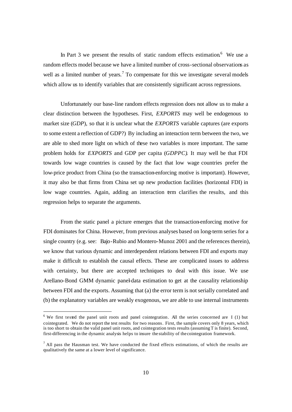In Part 3 we present the results of static random effects estimation.<sup>6</sup> We use a random effects model because we have a limited number of cross-sectional observations as well as a limited number of years.<sup>7</sup> To compensate for this we investigate several models which allow us to identify variables that are consistently significant across regressions.

Unfortunately our base-line random effects regression does not allow us to make a clear distinction between the hypotheses. First, *EXPORTS* may well be endogenous to market size (*GDP*), so that it is unclear what the *EXPORTS* variable captures (are exports to some extent a reflection of GDP?) By including an interaction term between the two, we are able to shed more light on which of these two variables is more important. The same problem holds for *EXPORTS* and GDP per capita (*GDPPC)*. It may well be that FDI towards low wage countries is caused by the fact that low wage countries prefer the low-price product from China (so the transaction-enforcing motive is important). However, it may also be that firms from China set up new production facilities (horizontal FDI) in low wage countries. Again, adding an interaction term clarifies the results, and this regression helps to separate the arguments.

From the static panel a picture emerges that the transaction-enforcing motive for FDI dominates for China. However, from previous analyses based on long-term series for a single country (e.g. see: Bajo-Rubio and Montero-Munoz 2001 and the references therein), we know that various dynamic and interdependent relations between FDI and exports may make it difficult to establish the causal effects. These are complicated issues to address with certainty, but there are accepted techniques to deal with this issue. We use Arellano-Bond GMM dynamic panel-data estimation to get at the causality relationship between FDI and the exports. Assuming that (a) the error term is not serially correlated and (b) the explanatory variables are weakly exogenous, we are able to use internal instruments

 $6$  We first tested the panel unit roots and panel cointegration. All the series concerned are I (1) but cointegrated. We do not report the test results for two reasons. First, the sample covers only 8 years, which is too short to obtain the valid panel unit roots, and cointegration tests results (assuming T is finite). Second, first-differencing in the dynamic analysis helps to insure the stability of the cointegration framework.

 $<sup>7</sup>$  All pass the Hausman test. We have conducted the fixed effects estimations, of which the results are</sup> qualitatively the same at a lower level of significance.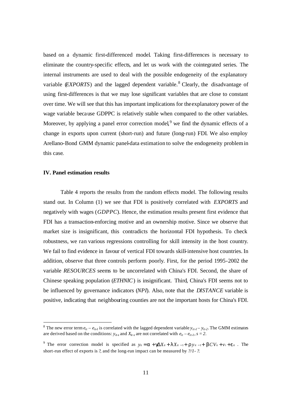based on a dynamic first-differenced model. Taking first-differences is necessary to eliminate the country-specific effects, and let us work with the cointegrated series. The internal instruments are used to deal with the possible endogeneity of the explanatory variable (*EXPORTS*) and the lagged dependent variable.<sup>8</sup> Clearly, the disadvantage of using first-differences is that we may lose significant variables that are close to constant over time. We will see that this has important implications for the explanatory power of the wage variable because GDPPC is relatively stable when compared to the other variables. Moreover, by applying a panel error correction model, <sup>9</sup> we find the dynamic effects of a change in exports upon current (short-run) and future (long-run) FDI. We also employ Arellano-Bond GMM dynamic panel-data estimation to solve the endogeneity problem in this case.

## **IV. Panel estimation results**

Table 4 reports the results from the random effects model. The following results stand out. In Column (1) we see that FDI is positively correlated with *EXPORTS* and negatively with wages (*GDPPC*). Hence, the estimation results present first evidence that FDI has a transaction-enforcing motive and an ownership motive. Since we observe that market size is insignificant, this contradicts the horizontal FDI hypothesis. To check robustness, we ran various regressions controlling for skill intensity in the host country. We fail to find evidence in favour of vertical FDI towards skill-intensive host countries. In addition, observe that three controls perform poorly. First, for the period 1995-2002 the variable *RESOURCES* seems to be uncorrelated with China's FDI. Second, the share of Chinese speaking population (*ETHNIC*) is insignificant. Third, China's FDI seems not to be influenced by governance indicators (*NPI*). Also, note that the *DISTANCE* variable is positive, indicating that neighbouring counties are not the important hosts for China's FDI.

<sup>&</sup>lt;sup>8</sup> The new error term  $e_{it} - e_{it}$  is correlated with the lagged dependent variable  $y_{it} - y_{it-2}$ . The GMM estimates are derived based on the conditions:  $y_{it-s}$  and  $X_{it-s}$  are not correlated with  $e_{it} - e_{it-1}$ ,  $s = 2$ .

<sup>&</sup>lt;sup>9</sup> The error correction model is specified as  $y_{it} = a + g\Delta X_{it} + I X_{it-1} + I Y_{it-1} + bCV_{it} + v_i + e_{it}$ . The short-run effect of exports is *?*, and the long-run impact can be measured by *?/1- ?*.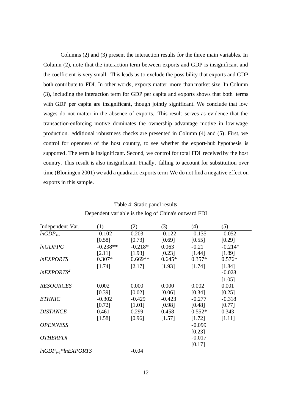Columns (2) and (3) present the interaction results for the three main variables. In Column (2), note that the interaction term between exports and GDP is insignificant and the coefficient is very small. This leads us to exclude the possibility that exports and GDP both contribute to FDI. In other words, exports matter more than market size. In Column (3), including the interaction term for GDP per capita and exports shows that both terms with GDP per capita are insignificant, though jointly significant. We conclude that low wages do not matter in the absence of exports. This result serves as evidence that the transaction-enforcing motive dominates the ownership advantage motive in low wage production. Additional robustness checks are presented in Column (4) and (5). First, we control for openness of the host country, to see whether the export-hub hypothesis is supported. The term is insignificant. Second, we control for total FDI received by the host country. This result is also insignificant. Finally, falling to account for substitution over time (Bloningen 2001) we add a quadratic exports term. We do not find a negative effect on exports in this sample.

| Independent Var.        | (1)        | (2)       | (3)      | (4)      | (5)       |
|-------------------------|------------|-----------|----------|----------|-----------|
| $lnGDP_{t-1}$           | $-0.102$   | 0.203     | $-0.122$ | $-0.135$ | $-0.052$  |
|                         | [0.58]     | [0.73]    | [0.69]   | [0.55]   | [0.29]    |
| lnGDPPC                 | $-0.238**$ | $-0.218*$ | 0.063    | $-0.21$  | $-0.214*$ |
|                         | [2.11]     | [1.93]    | [0.23]   | [1.44]   | [1.89]    |
| <i>InEXPORTS</i>        | $0.307*$   | $0.669**$ | $0.645*$ | $0.357*$ | $0.576*$  |
|                         | [1.74]     | [2.17]    | [1.93]   | [1.74]   | [1.84]    |
| lnEXPORTS <sup>2</sup>  |            |           |          |          | $-0.028$  |
|                         |            |           |          |          | [1.05]    |
| <b>RESOURCES</b>        | 0.002      | 0.000     | 0.000    | 0.002    | 0.001     |
|                         | [0.39]     | [0.02]    | [0.06]   | [0.34]   | [0.25]    |
| <b>ETHNIC</b>           | $-0.302$   | $-0.429$  | $-0.423$ | $-0.277$ | $-0.318$  |
|                         | [0.72]     | [1.01]    | [0.98]   | [0.48]   | [0.77]    |
| <b>DISTANCE</b>         | 0.461      | 0.299     | 0.458    | $0.552*$ | 0.343     |
|                         | [1.58]     | [0.96]    | [1.57]   | [1.72]   | [1.11]    |
| <b>OPENNESS</b>         |            |           |          | $-0.099$ |           |
|                         |            |           |          | [0.23]   |           |
| <i><b>OTHERFDI</b></i>  |            |           |          | $-0.017$ |           |
|                         |            |           |          | [0.17]   |           |
| $lnGDP_{t-1}*lnEXPORTS$ |            | $-0.04$   |          |          |           |

Table 4: Static panel results Dependent variable is the log of China's outward FDI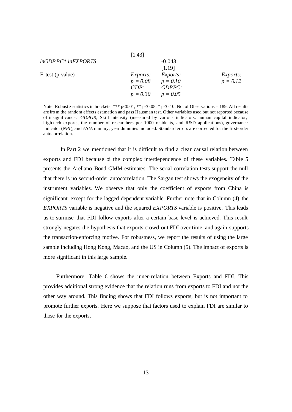|                     | [1.43]          |                 |                 |
|---------------------|-----------------|-----------------|-----------------|
| $lnGDPPC*lnEXPORTS$ |                 | $-0.043$        |                 |
|                     |                 | [1.19]          |                 |
| F-test (p-value)    | <i>Exports:</i> | <i>Exports:</i> | <i>Exports:</i> |
|                     | $p = 0.08$      | $p = 0.10$      | $p = 0.12$      |
|                     | GDP:            | GDPPC:          |                 |
|                     | $p = 0.30$      | $p = 0.05$      |                 |

Note: Robust z statistics in brackets: \*\*\* p<0.01, \*\* p<0.05, \* p<0.10. No. of Observations = 189. All results are fro m the random effects estimation and pass Hausman test. Other variables used but not reported because of insignificance: *GDPGR,* Skill intensity (measured by various indicators: human capital indicator, high-tech exports, the number of researchers per 1000 residents, and R&D applications), governance indicator (*NPI*), and *ASIA* dummy; year dummies included. Standard errors are corrected for the first-order autocorrelation.

In Part 2 we mentioned that it is difficult to find a clear causal relation between exports and FDI because of the complex interdependence of these variables. Table 5 presents the Arellano-Bond GMM estimates. The serial correlation tests support the null that there is no second-order autocorrelation. The Sargan test shows the exogeneity of the instrument variables. We observe that only the coefficient of exports from China is significant, except for the lagged dependent variable. Further note that in Column (4) the *EXPORTS* variable is negative and the squared *EXPORTS* variable is positive. This leads us to surmise that FDI follow exports after a certain base level is achieved. This result strongly negates the hypothesis that exports crowd out FDI over time, and again supports the transaction-enforcing motive. For robustness, we report the results of using the large sample including Hong Kong, Macao, and the US in Column (5). The impact of exports is more significant in this large sample.

 Furthermore, Table 6 shows the inner-relation between Exports and FDI. This provides additional strong evidence that the relation runs from exports to FDI and not the other way around. This finding shows that FDI follows exports, but is not important to promote further exports. Here we suppose that factors used to explain FDI are similar to those for the exports.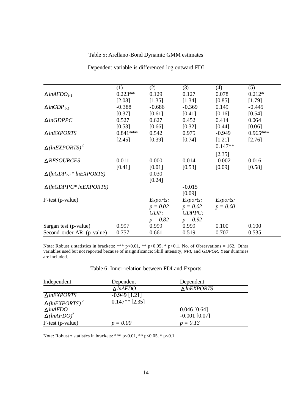# Table 5: Arellano-Bond Dynamic GMM estimates

|                                                | (1)        | (2)             | (3)        | (4)             | (5)        |
|------------------------------------------------|------------|-----------------|------------|-----------------|------------|
| $\triangle$ lnAFDO <sub>t-1</sub>              | $0.223**$  | 0.129           | 0.127      | 0.078           | $0.212*$   |
|                                                | [2.08]     | [1.35]          | [1.34]     | [0.85]          | [1.79]     |
| $\triangle InGDP_{t-1}$                        | $-0.388$   | $-0.686$        | $-0.369$   | 0.149           | $-0.445$   |
|                                                | [0.37]     | [0.61]          | [0.41]     | [0.16]          | [0.54]     |
| $\triangle InGDPPC$                            | 0.527      | 0.627           | 0.452      | 0.414           | 0.064      |
|                                                | [0.53]     | [0.66]          | [0.32]     | [0.44]          | [0.06]     |
| $\triangle$ lnEXPORTS                          | $0.841***$ | 0.542           | 0.975      | $-0.949$        | $0.965***$ |
|                                                | [2.45]     | [0.39]          | [0.74]     | [1.21]          | [2.76]     |
| $\triangle$ (lnEXPORTS) <sup>2</sup>           |            |                 |            | $0.147**$       |            |
|                                                |            |                 |            | [2.35]          |            |
| $\triangle$ RESOURCES                          | 0.011      | 0.000           | 0.014      | $-0.002$        | 0.016      |
|                                                | [0.41]     | $[0.01]$        | [0.53]     | [0.09]          | [0.58]     |
| $\triangle$ (lnGDP <sub>t-1</sub> * lnEXPORTS) |            | 0.030           |            |                 |            |
|                                                |            | [0.24]          |            |                 |            |
| $\triangle$ (lnGDP PC* lnEXPORTS)              |            |                 | $-0.015$   |                 |            |
|                                                |            |                 | [0.09]     |                 |            |
| F-test (p-value)                               |            | <i>Exports:</i> | Exports:   | <i>Exports:</i> |            |
|                                                |            | $p = 0.02$      | $p = 0.02$ | $p = 0.00$      |            |
|                                                |            | GDP:            | GDPPC:     |                 |            |
|                                                |            | $p = 0.82$      | $p = 0.92$ |                 |            |
| Sargan test (p-value)                          | 0.997      | 0.999           | 0.999      | 0.100           | 0.100      |
| Second-order AR (p-value)                      | 0.757      | 0.661           | 0.519      | 0.707           | 0.535      |

Dependent variable is differenced log outward FDI

Note: Robust z statistics in brackets: \*\*\*  $p<0.01$ , \*\*  $p<0.05$ , \*  $p<0.1$ . No. of Observations = 162. Other variables used but not reported because of insignificance: Skill intensity, *NPI*, and *GDPGR*. Year dummies are included.

|  | Table 6: Inner-relation between FDI and Exports |  |  |  |  |
|--|-------------------------------------------------|--|--|--|--|
|--|-------------------------------------------------|--|--|--|--|

| Independent                          | Dependent          | Dependent             |  |
|--------------------------------------|--------------------|-----------------------|--|
|                                      | $\triangle InAFDO$ | $\triangle$ lnEXPORTS |  |
| $\triangle$ lnEXPORTS                | $-0.949$ [1.21]    |                       |  |
| $\triangle$ (lnEXPORTS) <sup>2</sup> | $0.147**$ [2.35]   |                       |  |
| $\triangle InAFDO$                   |                    | $0.046$ [0.64]        |  |
| $\triangle$ (lnAFDO) <sup>2</sup>    |                    | $-0.001$ [0.07]       |  |
| F-test (p-value)                     | $p = 0.00$         | $p = 0.13$            |  |

Note: Robust z statistics in brackets: \*\*\* p<0.01, \*\* p<0.05, \* p<0.1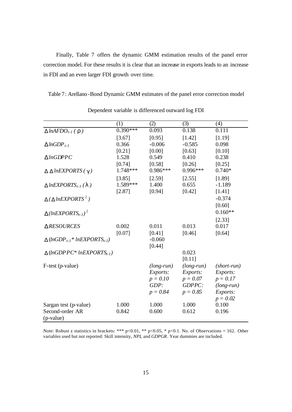Finally, Table 7 offers the dynamic GMM estimation results of the panel error correction model. For these results it is clear that an increase in exports leads to an increase in FDI and an even larger FDI growth over time.

Table 7: Arellano-Bond Dynamic GMM estimates of the panel error correction model

|                                                                | (1)        | (2)          | (3)          | (4)           |
|----------------------------------------------------------------|------------|--------------|--------------|---------------|
| $\triangle$ lnAFDO <sub>t-1</sub> ( $\bf{r}$ )                 | $0.390***$ | 0.093        | 0.138        | 0.111         |
|                                                                | [3.67]     | [0.95]       | [1.42]       | [1.19]        |
| $\triangle InGDP_{t-1}$                                        | 0.366      | $-0.006$     | $-0.585$     | 0.098         |
|                                                                | [0.21]     | [0.00]       | [0.63]       | [0.10]        |
| $\triangle InGDPPC$                                            | 1.528      | 0.549        | 0.410        | 0.238         |
|                                                                | [0.74]     | [0.58]       | [0.26]       | [0.25]        |
| $\triangle \triangle$ lnEXPORTS ( $g$ )                        | 1.748 ***  | $0.986***$   | $0.996***$   | $0.740*$      |
|                                                                | [3.85]     | [2.59]       | [2.55]       | [1.89]        |
| $\triangle$ lnEXPORTS <sub>t-1</sub> (1)                       | 1.589***   | 1.400        | 0.655        | $-1.189$      |
|                                                                | [2.87]     | [0.94]       | [0.42]       | [1.41]        |
| $\Delta$ ( $\Delta$ lnEXPORTS <sup>2</sup> )                   |            |              |              | $-0.374$      |
|                                                                |            |              |              | [0.60]        |
| $\triangle$ (lnEXPORTS <sub>t-1</sub> ) <sup>2</sup>           |            |              |              | $0.160**$     |
|                                                                |            |              |              | [2.33]        |
| ∆RESOURCES                                                     | 0.002      | 0.011        | 0.013        | 0.017         |
|                                                                | [0.07]     | [0.41]       | [0.46]       | [0.64]        |
| $\triangle$ (lnGDP <sub>t-1</sub> * lnEXPORTS <sub>t-1</sub> ) |            | $-0.060$     |              |               |
|                                                                |            | [0.44]       |              |               |
| $\triangle$ (lnGDP PC* lnEXPORTS <sub>t-1</sub> )              |            |              | 0.023        |               |
|                                                                |            |              | [0.11]       |               |
| F-test (p-value)                                               |            | $(long-run)$ | $(long-run)$ | $(short-run)$ |
|                                                                |            | Exports:     | Exports:     | Exports:      |
|                                                                |            | $p = 0.10$   | $p = 0.07$   | $p=0.17$      |
|                                                                |            | GDP:         | GDPPC:       | $(long-run)$  |
|                                                                |            | $p = 0.84$   | $p = 0.85$   | Exports:      |
|                                                                |            |              |              | $p = 0.02$    |
| Sargan test (p-value)                                          | 1.000      | 1.000        | 1.000        | 0.100         |
| Second-order AR                                                | 0.842      | 0.600        | 0.612        | 0.196         |
| (p-value)                                                      |            |              |              |               |

Dependent variable is differenced outward log FDI

Note: Robust z statistics in brackets: \*\*\*  $p<0.01$ , \*\*  $p<0.05$ , \*  $p<0.1$ . No. of Observations = 162. Other variables used but not reported: Skill intensity, *NPI*, and *GDPGR*. Year dummies are included.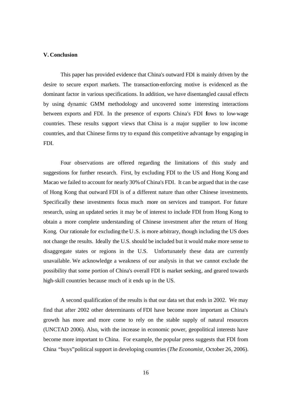## **V. Conclusion**

This paper has provided evidence that China's outward FDI is mainly driven by the desire to secure export markets. The transaction-enforcing motive is evidenced as the dominant factor in various specifications. In addition, we have disentangled causal effects by using dynamic GMM methodology and uncovered some interesting interactions between exports and FDI. In the presence of exports China's FDI flows to low-wage countries. These results support views that China is a major supplier to low income countries, and that Chinese firms try to expand this competitive advantage by engaging in FDI.

Four observations are offered regarding the limitations of this study and suggestions for further research. First, by excluding FDI to the US and Hong Kong and Macao we failed to account for nearly 30% of China's FDI. It can be argued that in the case of Hong Kong that outward FDI is of a different nature than other Chinese investments. Specifically these investments focus much more on services and transport. For future research, using an updated series it may be of interest to include FDI from Hong Kong to obtain a more complete understanding of Chinese investment after the return of Hong Kong. Our rationale for excluding the U.S. is more arbitrary, though including the US does not change the results. Ideally the U.S. should be included but it would make more sense to disaggregate states or regions in the U.S. Unfortunately these data are currently unavailable. We acknowledge a weakness of our analysis in that we cannot exclude the possibility that some portion of China's overall FDI is market seeking, and geared towards high-skill countries because much of it ends up in the US.

A second qualification of the results is that our data set that ends in 2002. We may find that after 2002 other determinants of FDI have become more important as China's growth has more and more come to rely on the stable supply of natural resources (UNCTAD 2006). Also, with the increase in economic power, geopolitical interests have become more important to China. For example, the popular press suggests that FDI from China "buys" political support in developing countries (*The Economist,* October 26, 2006).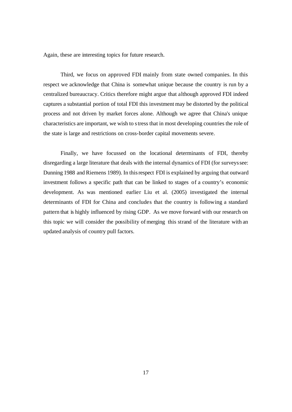Again, these are interesting topics for future research.

Third, we focus on approved FDI mainly from state owned companies. In this respect we acknowledge that China is somewhat unique because the country is run by a centralized bureaucracy. Critics therefore might argue that although approved FDI indeed captures a substantial portion of total FDI this investment may be distorted by the political process and not driven by market forces alone. Although we agree that China's unique characteristics are important, we wish to stress that in most developing countries the role of the state is large and restrictions on cross-border capital movements severe.

Finally, we have focussed on the locational determinants of FDI, thereby disregarding a large literature that deals with the internal dynamics of FDI (for surveys see: Dunning 1988 and Riemens 1989). In this respect FDI is explained by arguing that outward investment follows a specific path that can be linked to stages of a country's economic development. As was mentioned earlier Liu et al. (2005) investigated the internal determinants of FDI for China and concludes that the country is following a standard pattern that is highly influenced by rising GDP. As we move forward with our research on this topic we will consider the possibility of merging this strand of the literature with an updated analysis of country pull factors.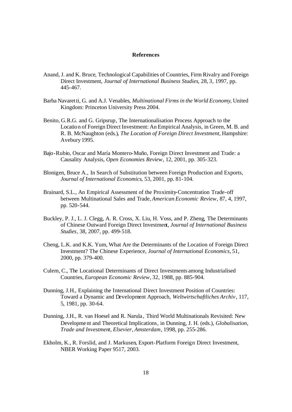#### **References**

- Anand, J. and K. Bruce, Technological Capabilities of Countries, Firm Rivalry and Foreign Direct Investment, *Journal of International Business Studies*, 28, 3, 1997, pp. 445-467.
- Barba Navaretti, G. and A.J. Venables, *Multinational Firms in the World Economy*, United Kingdom: Princeton University Press 2004.
- Benito, G.R.G. and G. Gripsrup, The Internationalisation Process Approach to the Location of Foreign Direct Investment: An Empirical Analysis, in Green, M. B. and R. B. McNaughton (eds.), *The Location of Foreign Direct Investment*, Hampshire: Avebury 1995.
- Bajo-Rubio, Oscar and María Montero-Muño, Foreign Direct Investment and Trade: a Causality Analysis, *Open Economies Review*, 12, 2001, pp. 305-323.
- Blonigen, Bruce A., In Search of Substitution between Foreign Production and Exports, *Journal of International Economics*, 53, 2001, pp. 81-104.
- Brainard, S.L., An Empirical Assessment of the Proximity-Concentration Trade-off between Multinational Sales and Trade, *American Economic Review*, 87, 4, 1997, pp. 520-544.
- Buckley, P. J., L. J. Clegg, A. R. Cross, X. Liu, H. Voss, and P. Zheng, The Determinants of Chinese Outward Foreign Direct Investment, *Journal of International Business Studies*, 38, 2007, pp. 499-518.
- Cheng, L.K. and K.K. Yum, What Are the Determinants of the Location of Foreign Direct Investment? The Chinese Experience, *Journal of International Economics*, 51, 2000, pp. 379-400.
- Culem, C., The Locational Determinants of Direct Investments among Industrialised Countries, *European Economic Review*, 32, 1988, pp. 885-904.
- Dunning, J.H., Explaining the International Direct Investment Position of Countries: Toward a Dynamic and Development Approach, *Weltwirtschaftliches Archiv*, 117, 5, 1981, pp. 30-64.
- Dunning, J.H., R. van Hoesel and R. Narula , Third World Multinationals Revisited: New Development and Theoretical Implications, in Dunning, J. H. (eds.), *Globalisation, Trade and Investment, Elsevier, Amsterdam*, 1998, pp. 255-286.
- Ekholm, K., R. Forslid, and J. Markusen, Export-Platform Foreign Direct Investment, NBER Working Paper 9517, 2003.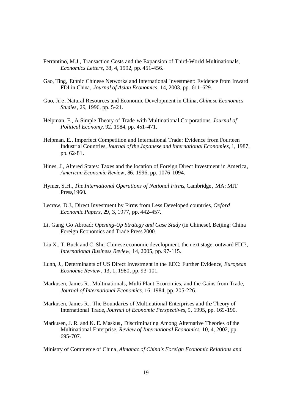- Ferrantino, M.J., Transaction Costs and the Expansion of Third-World Multinationals, *Economics Letters*, 38, 4, 1992, pp. 451-456.
- Gao, Ting, Ethnic Chinese Networks and International Investment: Evidence from Inward FDI in China, *Journal of Asian Economics*, 14, 2003, pp. 611-629.
- Guo, Ju'e, Natural Resources and Economic Development in China, *Chinese Economics Studies*, 29, 1996, pp. 5-21.
- Helpman, E., A Simple Theory of Trade with Multinational Corporations, *Journal of Political Economy*, 92, 1984, pp. 451-471.
- Helpman, E., Imperfect Competition and International Trade: Evidence from Fourteen Industrial Countries, *Journal of the Japanese and International Economies*, 1, 1987, pp. 62-81.
- Hines, J., Altered States: Taxes and the location of Foreign Direct Investment in America, *American Economic Review*, 86, 1996, pp. 1076-1094.
- Hymer, S.H., *The International Operations of National Firms*, Cambridge , MA: MIT Press,1960.
- Lecraw, D.J., Direct Investment by Firms from Less Developed countries, *Oxford Economic Papers*, 29, 3, 1977, pp. 442-457.
- Li, Gang, Go Abroad: *Opening-Up Strategy and Case Study* (in Chinese), Beijing: China Foreign Economics and Trade Press 2000.
- Liu X., T. Buck and C. Shu,Chinese economic development, the next stage: outward FDI?, *International Business Review*, 14, 2005, pp. 97-115.
- Lunn, J., Determinants of US Direct Investment in the EEC: Further Evidence*, European Economic Review*, 13, 1, 1980, pp. 93-101.
- Markusen, James R., Multinationals, Multi-Plant Economies, and the Gains from Trade, *Journal of International Economics*, 16, 1984, pp. 205-226.
- Markusen, James R., The Boundaries of Multinational Enterprises and the Theory of International Trade, *Journal of Economic Perspectives*, 9, 1995, pp. 169-190.
- Markusen, J. R. and K. E. Maskus, Discriminating Among Alternative Theories of the Multinational Enterprise, *Review of International Economics*, 10, 4, 2002, pp. 695-707.

Ministry of Commerce of China, *Almanac of China's Foreign Economic Relations and*